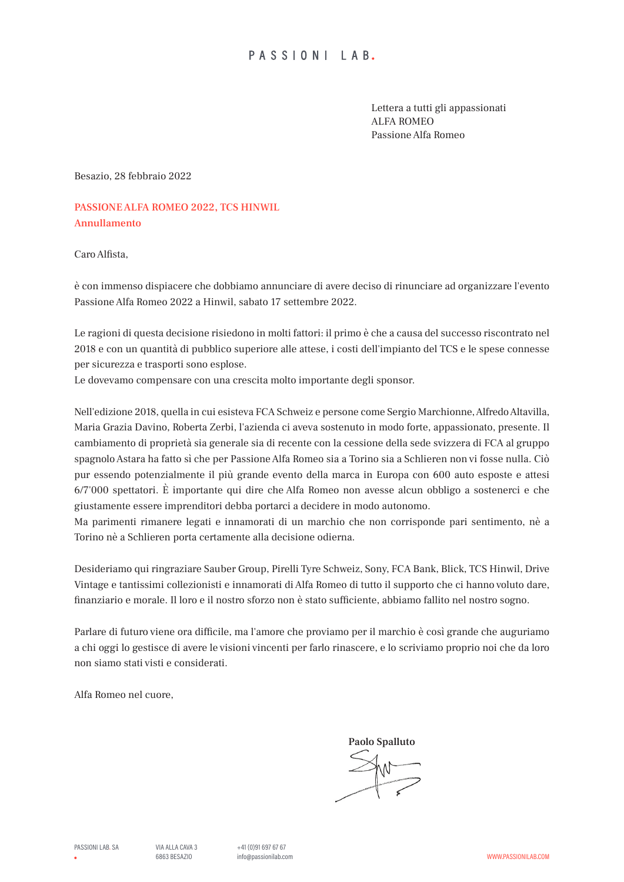Lettera a tutti gli appassionati ALFA ROMEO Passione Alfa Romeo

Besazio, 28 febbraio 2022

PASSIONE ALFA ROMEO 2022, TCS HINWIL Annullamento

Caro Alfista,

è con immenso dispiacere che dobbiamo annunciare di avere deciso di rinunciare ad organizzare l'evento Passione Alfa Romeo 2022 a Hinwil, sabato 17 settembre 2022.

Le ragioni di questa decisione risiedono in molti fattori: il primo è che a causa del successo riscontrato nel 2018 e con un quantità di pubblico superiore alle attese, i costi dell'impianto del TCS e le spese connesse per sicurezza e trasporti sono esplose.

Le dovevamo compensare con una crescita molto importante degli sponsor.

Nell'edizione 2018, quella in cui esisteva FCA Schweiz e persone come Sergio Marchionne, Alfredo Altavilla, Maria Grazia Davino, Roberta Zerbi, l'azienda ci aveva sostenuto in modo forte, appassionato, presente. Il cambiamento di proprietà sia generale sia di recente con la cessione della sede svizzera di FCA al gruppo spagnolo Astara ha fatto sì che per Passione Alfa Romeo sia a Torino sia a Schlieren non vi fosse nulla. Ciò pur essendo potenzialmente il più grande evento della marca in Europa con 600 auto esposte e attesi 6/7'000 spettatori. È importante qui dire che Alfa Romeo non avesse alcun obbligo a sostenerci e che giustamente essere imprenditori debba portarci a decidere in modo autonomo.

Ma parimenti rimanere legati e innamorati di un marchio che non corrisponde pari sentimento, nè a Torino nè a Schlieren porta certamente alla decisione odierna.

Desideriamo qui ringraziare Sauber Group, Pirelli Tyre Schweiz, Sony, FCA Bank, Blick, TCS Hinwil, Drive Vintage e tantissimi collezionisti e innamorati di Alfa Romeo di tutto il supporto che ci hanno voluto dare, finanziario e morale. Il loro e il nostro sforzo non è stato sufficiente, abbiamo fallito nel nostro sogno.

Parlare di futuro viene ora difficile, ma l'amore che proviamo per il marchio è così grande che auguriamo a chi oggi lo gestisce di avere le visioni vincenti per farlo rinascere, e lo scriviamo proprio noi che da loro non siamo stati visti e considerati.

Alfa Romeo nel cuore,

 Paolo Spalluto  $\leq \leq$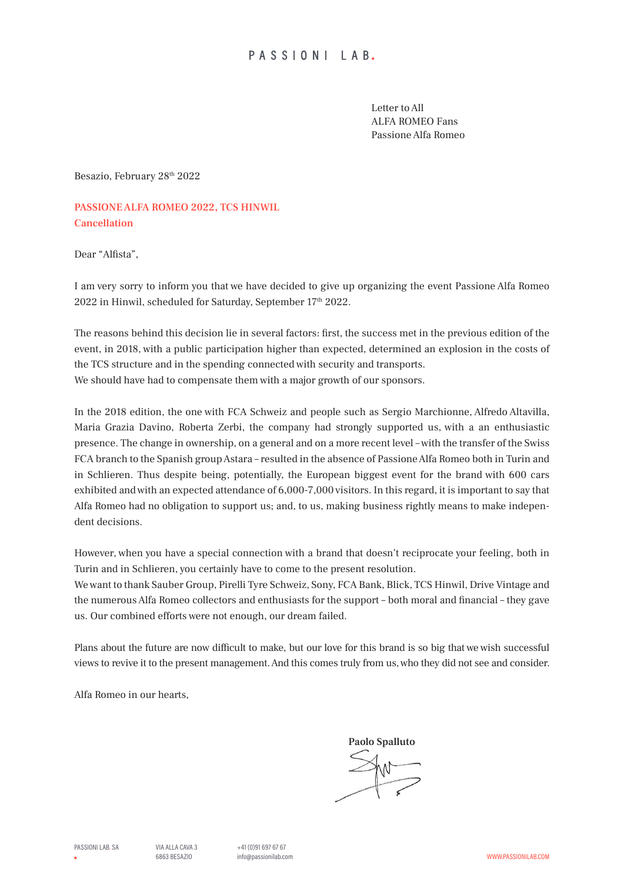Letter to All ALFA ROMEO Fans Passione Alfa Romeo

Besazio, February 28th 2022

PASSIONE ALFA ROMEO 2022, TCS HINWIL Cancellation

Dear "Alfista",

I am very sorry to inform you that we have decided to give up organizing the event Passione Alfa Romeo 2022 in Hinwil, scheduled for Saturday, September 17th 2022.

The reasons behind this decision lie in several factors: first, the success met in the previous edition of the event, in 2018, with a public participation higher than expected, determined an explosion in the costs of the TCS structure and in the spending connected with security and transports. We should have had to compensate them with a major growth of our sponsors.

In the 2018 edition, the one with FCA Schweiz and people such as Sergio Marchionne, Alfredo Altavilla, Maria Grazia Davino, Roberta Zerbi, the company had strongly supported us, with a an enthusiastic presence. The change in ownership, on a general and on a more recent level – with the transfer of the Swiss FCA branch to the Spanish group Astara – resulted in the absence of Passione Alfa Romeo both in Turin and in Schlieren. Thus despite being, potentially, the European biggest event for the brand with 600 cars exhibited and with an expected attendance of 6,000-7,000 visitors. In this regard, it is important to say that Alfa Romeo had no obligation to support us; and, to us, making business rightly means to make independent decisions.

However, when you have a special connection with a brand that doesn't reciprocate your feeling, both in Turin and in Schlieren, you certainly have to come to the present resolution.

We want to thank Sauber Group, Pirelli Tyre Schweiz, Sony, FCA Bank, Blick, TCS Hinwil, Drive Vintage and the numerous Alfa Romeo collectors and enthusiasts for the support – both moral and financial – they gave us. Our combined efforts were not enough, our dream failed.

Plans about the future are now difficult to make, but our love for this brand is so big that we wish successful views to revive it to the present management. And this comes truly from us, who they did not see and consider.

Alfa Romeo in our hearts,

 Paolo Spalluto  $\leq \leq$ 

PASSIONI LAB. SA  $VIA A11 A CAVA 3 +41 (0)91 697 67 67$